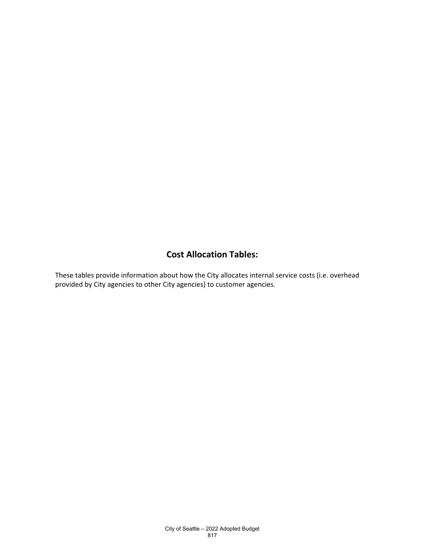#### **Cost Allocation Tables:**

These tables provide information about how the City allocates internal service costs (i.e. overhead provided by City agencies to other City agencies) to customer agencies.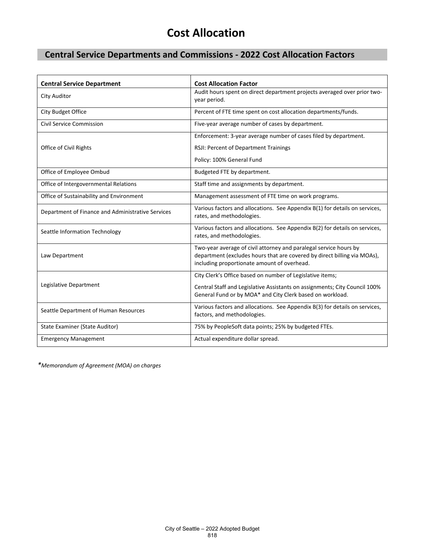#### **Central Service Departments and Commissions - 2022 Cost Allocation Factors**

| <b>Central Service Department</b>                 | <b>Cost Allocation Factor</b>                                                                                                                                                                |
|---------------------------------------------------|----------------------------------------------------------------------------------------------------------------------------------------------------------------------------------------------|
| <b>City Auditor</b>                               | Audit hours spent on direct department projects averaged over prior two-<br>year period.                                                                                                     |
| City Budget Office                                | Percent of FTE time spent on cost allocation departments/funds.                                                                                                                              |
| <b>Civil Service Commission</b>                   | Five-year average number of cases by department.                                                                                                                                             |
|                                                   | Enforcement: 3-year average number of cases filed by department.                                                                                                                             |
| Office of Civil Rights                            | RSJI: Percent of Department Trainings                                                                                                                                                        |
|                                                   | Policy: 100% General Fund                                                                                                                                                                    |
| Office of Employee Ombud                          | Budgeted FTE by department.                                                                                                                                                                  |
| Office of Intergovernmental Relations             | Staff time and assignments by department.                                                                                                                                                    |
| Office of Sustainability and Environment          | Management assessment of FTE time on work programs.                                                                                                                                          |
| Department of Finance and Administrative Services | Various factors and allocations. See Appendix B(1) for details on services,<br>rates, and methodologies.                                                                                     |
| Seattle Information Technology                    | Various factors and allocations. See Appendix B(2) for details on services,<br>rates, and methodologies.                                                                                     |
| Law Department                                    | Two-year average of civil attorney and paralegal service hours by<br>department (excludes hours that are covered by direct billing via MOAs),<br>including proportionate amount of overhead. |
|                                                   | City Clerk's Office based on number of Legislative items;                                                                                                                                    |
| Legislative Department                            | Central Staff and Legislative Assistants on assignments; City Council 100%<br>General Fund or by MOA* and City Clerk based on workload.                                                      |
| Seattle Department of Human Resources             | Various factors and allocations. See Appendix B(3) for details on services,<br>factors, and methodologies.                                                                                   |
| State Examiner (State Auditor)                    | 75% by PeopleSoft data points; 25% by budgeted FTEs.                                                                                                                                         |
| <b>Emergency Management</b>                       | Actual expenditure dollar spread.                                                                                                                                                            |

*\*Memorandum of Agreement (MOA) on charges*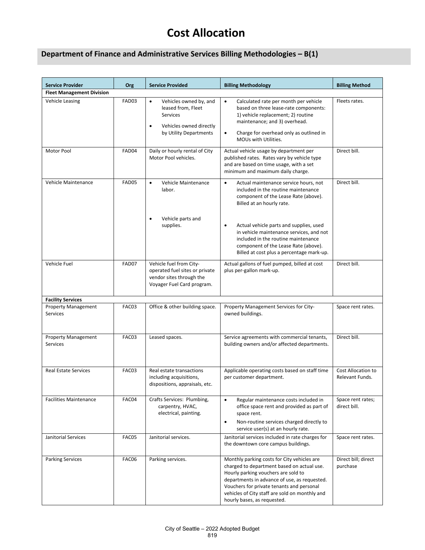#### **Department of Finance and Administrative Services Billing Methodologies – B(1)**

| <b>Service Provider</b>                | Org   | <b>Service Provided</b>                                                                                              | <b>Billing Methodology</b>                                                                                                                                                                                                                                                                                     | <b>Billing Method</b>                 |
|----------------------------------------|-------|----------------------------------------------------------------------------------------------------------------------|----------------------------------------------------------------------------------------------------------------------------------------------------------------------------------------------------------------------------------------------------------------------------------------------------------------|---------------------------------------|
| <b>Fleet Management Division</b>       |       |                                                                                                                      |                                                                                                                                                                                                                                                                                                                |                                       |
| Vehicle Leasing                        | FAD03 | Vehicles owned by, and<br>leased from, Fleet<br><b>Services</b><br>Vehicles owned directly<br>by Utility Departments | Calculated rate per month per vehicle<br>$\bullet$<br>based on three lease-rate components:<br>1) vehicle replacement; 2) routine<br>maintenance; and 3) overhead.<br>Charge for overhead only as outlined in<br>$\bullet$<br>MOUs with Utilities.                                                             | Fleets rates.                         |
| Motor Pool                             | FAD04 | Daily or hourly rental of City<br>Motor Pool vehicles.                                                               | Actual vehicle usage by department per<br>published rates. Rates vary by vehicle type<br>and are based on time usage, with a set<br>minimum and maximum daily charge.                                                                                                                                          | Direct bill.                          |
| Vehicle Maintenance                    | FAD05 | Vehicle Maintenance<br>$\bullet$<br>labor.                                                                           | Actual maintenance service hours, not<br>$\bullet$<br>included in the routine maintenance<br>component of the Lease Rate (above).<br>Billed at an hourly rate.                                                                                                                                                 | Direct bill.                          |
|                                        |       | Vehicle parts and<br>supplies.                                                                                       | Actual vehicle parts and supplies, used<br>$\bullet$<br>in vehicle maintenance services, and not<br>included in the routine maintenance<br>component of the Lease Rate (above).<br>Billed at cost plus a percentage mark-up.                                                                                   |                                       |
| Vehicle Fuel                           | FAD07 | Vehicle fuel from City-<br>operated fuel sites or private<br>vendor sites through the<br>Voyager Fuel Card program.  | Actual gallons of fuel pumped, billed at cost<br>plus per-gallon mark-up.                                                                                                                                                                                                                                      | Direct bill.                          |
| <b>Facility Services</b>               |       |                                                                                                                      |                                                                                                                                                                                                                                                                                                                |                                       |
| <b>Property Management</b><br>Services | FAC03 | Office & other building space.                                                                                       | Property Management Services for City-<br>owned buildings.                                                                                                                                                                                                                                                     | Space rent rates.                     |
| <b>Property Management</b><br>Services | FAC03 | Leased spaces.                                                                                                       | Service agreements with commercial tenants,<br>building owners and/or affected departments.                                                                                                                                                                                                                    | Direct bill.                          |
| <b>Real Estate Services</b>            | FAC03 | Real estate transactions<br>including acquisitions,<br>dispositions, appraisals, etc.                                | Applicable operating costs based on staff time<br>per customer department.                                                                                                                                                                                                                                     | Cost Allocation to<br>Relevant Funds. |
| <b>Facilities Maintenance</b>          | FAC04 | Crafts Services: Plumbing,<br>carpentry, HVAC,<br>electrical, painting.                                              | Regular maintenance costs included in<br>$\bullet$<br>office space rent and provided as part of<br>space rent.<br>Non-routine services charged directly to<br>$\bullet$<br>service user(s) at an hourly rate.                                                                                                  | Space rent rates;<br>direct bill.     |
| Janitorial Services                    | FAC05 | Janitorial services.                                                                                                 | Janitorial services included in rate charges for<br>the downtown core campus buildings.                                                                                                                                                                                                                        | Space rent rates.                     |
| <b>Parking Services</b>                | FAC06 | Parking services.                                                                                                    | Monthly parking costs for City vehicles are<br>charged to department based on actual use.<br>Hourly parking vouchers are sold to<br>departments in advance of use, as requested.<br>Vouchers for private tenants and personal<br>vehicles of City staff are sold on monthly and<br>hourly bases, as requested. | Direct bill; direct<br>purchase       |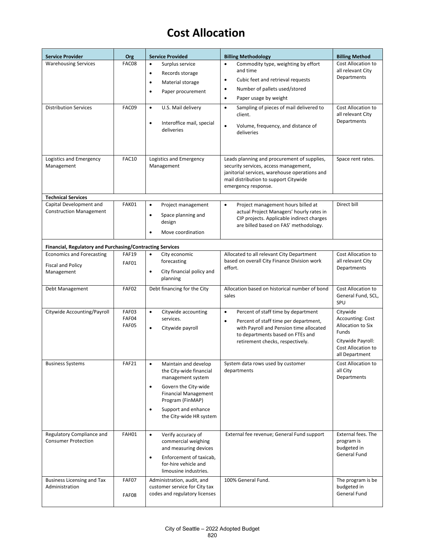| <b>Service Provider</b>                                          | Org            | <b>Service Provided</b>                                     | <b>Billing Methodology</b>                                                                  | <b>Billing Method</b>                   |
|------------------------------------------------------------------|----------------|-------------------------------------------------------------|---------------------------------------------------------------------------------------------|-----------------------------------------|
| <b>Warehousing Services</b>                                      | FAC08          | Surplus service<br>$\bullet$                                | Commodity type, weighting by effort<br>$\bullet$                                            | Cost Allocation to                      |
|                                                                  |                | Records storage<br>$\bullet$                                | and time                                                                                    | all relevant City<br>Departments        |
|                                                                  |                | Material storage<br>$\bullet$                               | Cubic feet and retrieval requests<br>$\bullet$                                              |                                         |
|                                                                  |                | Paper procurement<br>$\bullet$                              | Number of pallets used/stored<br>$\bullet$                                                  |                                         |
|                                                                  |                |                                                             | Paper usage by weight<br>$\bullet$                                                          |                                         |
| <b>Distribution Services</b>                                     | FAC09          | U.S. Mail delivery<br>$\bullet$                             | Sampling of pieces of mail delivered to<br>$\bullet$<br>client.                             | Cost Allocation to<br>all relevant City |
|                                                                  |                | Interoffice mail, special<br>$\bullet$                      | Volume, frequency, and distance of<br>$\bullet$                                             | Departments                             |
|                                                                  |                | deliveries                                                  | deliveries                                                                                  |                                         |
|                                                                  |                |                                                             |                                                                                             |                                         |
|                                                                  |                |                                                             |                                                                                             |                                         |
| Logistics and Emergency                                          | <b>FAC10</b>   | Logistics and Emergency                                     | Leads planning and procurement of supplies,                                                 | Space rent rates.                       |
| Management                                                       |                | Management                                                  | security services, access management,<br>janitorial services, warehouse operations and      |                                         |
|                                                                  |                |                                                             | mail distribution to support Citywide                                                       |                                         |
|                                                                  |                |                                                             | emergency response.                                                                         |                                         |
| <b>Technical Services</b>                                        |                |                                                             |                                                                                             |                                         |
| Capital Development and<br><b>Construction Management</b>        | FAK01          | Project management<br>$\bullet$                             | $\bullet$<br>Project management hours billed at<br>actual Project Managers' hourly rates in | Direct bill                             |
|                                                                  |                | Space planning and<br>$\bullet$                             | CIP projects. Applicable indirect charges                                                   |                                         |
|                                                                  |                | design                                                      | are billed based on FAS' methodology.                                                       |                                         |
|                                                                  |                | Move coordination                                           |                                                                                             |                                         |
| <b>Financial, Regulatory and Purchasing/Contracting Services</b> |                |                                                             |                                                                                             |                                         |
| <b>Economics and Forecasting</b>                                 | <b>FAF19</b>   | $\bullet$<br>City economic                                  | Allocated to all relevant City Department                                                   | Cost Allocation to                      |
| <b>Fiscal and Policy</b>                                         | FAF01          | forecasting                                                 | based on overall City Finance Division work<br>effort.                                      | all relevant City<br>Departments        |
| Management                                                       |                | City financial policy and<br>$\bullet$<br>planning          |                                                                                             |                                         |
|                                                                  | <b>FAF02</b>   |                                                             | Allocation based on historical number of bond                                               | Cost Allocation to                      |
| Debt Management                                                  |                | Debt financing for the City                                 | sales                                                                                       | General Fund, SCL,                      |
|                                                                  |                |                                                             |                                                                                             | SPU                                     |
| Citywide Accounting/Payroll                                      | FAF03          | Citywide accounting<br>$\bullet$                            | Percent of staff time by department<br>$\bullet$                                            | Citywide                                |
|                                                                  | FAF04<br>FAF05 | services.                                                   | Percent of staff time per department,<br>$\bullet$                                          | Accounting: Cost<br>Allocation to Six   |
|                                                                  |                | $\bullet$<br>Citywide payroll                               | with Payroll and Pension time allocated<br>to departments based on FTEs and                 | Funds                                   |
|                                                                  |                |                                                             | retirement checks, respectively.                                                            | Citywide Payroll:                       |
|                                                                  |                |                                                             |                                                                                             | Cost Allocation to<br>all Department    |
| <b>Business Systems</b>                                          | FAF21          | Maintain and develop<br>$\bullet$                           | System data rows used by customer                                                           | Cost Allocation to                      |
|                                                                  |                | the City-wide financial                                     | departments                                                                                 | all City                                |
|                                                                  |                | management system                                           |                                                                                             | Departments                             |
|                                                                  |                | Govern the City-wide<br>$\bullet$                           |                                                                                             |                                         |
|                                                                  |                | <b>Financial Management</b><br>Program (FinMAP)             |                                                                                             |                                         |
|                                                                  |                | Support and enhance<br>$\bullet$                            |                                                                                             |                                         |
|                                                                  |                | the City-wide HR system                                     |                                                                                             |                                         |
|                                                                  |                |                                                             |                                                                                             |                                         |
| Regulatory Compliance and<br><b>Consumer Protection</b>          | FAH01          | Verify accuracy of<br>$\bullet$<br>commercial weighing      | External fee revenue; General Fund support                                                  | External fees. The<br>program is        |
|                                                                  |                | and measuring devices                                       |                                                                                             | budgeted in                             |
|                                                                  |                | Enforcement of taxicab,<br>$\bullet$                        |                                                                                             | General Fund                            |
|                                                                  |                | for-hire vehicle and                                        |                                                                                             |                                         |
|                                                                  |                | limousine industries.                                       |                                                                                             |                                         |
| <b>Business Licensing and Tax</b><br>Administration              | FAF07          | Administration, audit, and<br>customer service for City tax | 100% General Fund.                                                                          | The program is be<br>budgeted in        |
|                                                                  | FAF08          | codes and regulatory licenses                               |                                                                                             | General Fund                            |
|                                                                  |                |                                                             |                                                                                             |                                         |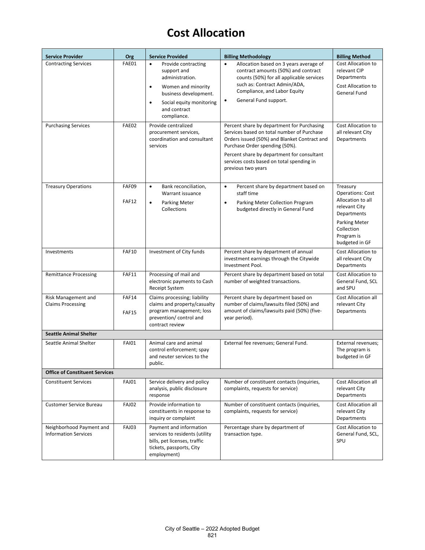| <b>Service Provider</b>                                   | Org                   | <b>Service Provided</b>                                                                                                                                                                                                                                                               | <b>Billing Methodology</b>                                                                                                                                                                                                                                                                                                                                                               | <b>Billing Method</b>                                                                                                                                    |
|-----------------------------------------------------------|-----------------------|---------------------------------------------------------------------------------------------------------------------------------------------------------------------------------------------------------------------------------------------------------------------------------------|------------------------------------------------------------------------------------------------------------------------------------------------------------------------------------------------------------------------------------------------------------------------------------------------------------------------------------------------------------------------------------------|----------------------------------------------------------------------------------------------------------------------------------------------------------|
| <b>Contracting Services</b><br><b>Purchasing Services</b> | FAE01<br>FAE02        | $\bullet$<br>Provide contracting<br>support and<br>administration.<br>Women and minority<br>$\bullet$<br>business development.<br>Social equity monitoring<br>$\bullet$<br>and contract<br>compliance.<br>Provide centralized<br>procurement services,<br>coordination and consultant | Allocation based on 3 years average of<br>$\bullet$<br>contract amounts (50%) and contract<br>counts (50%) for all applicable services<br>such as: Contract Admin/ADA,<br>Compliance, and Labor Equity<br>General Fund support.<br>$\bullet$<br>Percent share by department for Purchasing<br>Services based on total number of Purchase<br>Orders issued (50%) and Blanket Contract and | Cost Allocation to<br>relevant CIP<br>Departments<br>Cost Allocation to<br>General Fund<br>Cost Allocation to<br>all relevant City<br><b>Departments</b> |
|                                                           |                       | services                                                                                                                                                                                                                                                                              | Purchase Order spending (50%).<br>Percent share by department for consultant<br>services costs based on total spending in<br>previous two years                                                                                                                                                                                                                                          |                                                                                                                                                          |
| <b>Treasury Operations</b>                                | FAF09<br><b>FAF12</b> | Bank reconciliation,<br>$\bullet$<br>Warrant issuance<br>$\bullet$<br><b>Parking Meter</b><br>Collections                                                                                                                                                                             | Percent share by department based on<br>$\bullet$<br>staff time<br>Parking Meter Collection Program<br>$\bullet$<br>budgeted directly in General Fund                                                                                                                                                                                                                                    | Treasury<br><b>Operations: Cost</b><br>Allocation to all<br>relevant City<br>Departments<br>Parking Meter<br>Collection<br>Program is<br>budgeted in GF  |
| Investments                                               | <b>FAF10</b>          | Investment of City funds                                                                                                                                                                                                                                                              | Percent share by department of annual<br>investment earnings through the Citywide<br>Investment Pool.                                                                                                                                                                                                                                                                                    | Cost Allocation to<br>all relevant City<br>Departments                                                                                                   |
| <b>Remittance Processing</b>                              | <b>FAF11</b>          | Processing of mail and<br>electronic payments to Cash<br>Receipt System                                                                                                                                                                                                               | Percent share by department based on total<br>number of weighted transactions.                                                                                                                                                                                                                                                                                                           | Cost Allocation to<br>General Fund, SCL<br>and SPU                                                                                                       |
| Risk Management and<br><b>Claims Processing</b>           | <b>FAF14</b><br>FAF15 | Claims processing; liability<br>claims and property/casualty<br>program management; loss<br>prevention/control and<br>contract review                                                                                                                                                 | Percent share by department based on<br>number of claims/lawsuits filed (50%) and<br>amount of claims/lawsuits paid (50%) (five-<br>year period).                                                                                                                                                                                                                                        | Cost Allocation all<br>relevant City<br>Departments                                                                                                      |
| <b>Seattle Animal Shelter</b>                             |                       |                                                                                                                                                                                                                                                                                       |                                                                                                                                                                                                                                                                                                                                                                                          |                                                                                                                                                          |
| Seattle Animal Shelter                                    | <b>FAI01</b>          | Animal care and animal<br>control enforcement; spay<br>and neuter services to the<br>public.                                                                                                                                                                                          | External fee revenues; General Fund.                                                                                                                                                                                                                                                                                                                                                     | External revenues;<br>The program is<br>budgeted in GF                                                                                                   |
| <b>Office of Constituent Services</b>                     |                       |                                                                                                                                                                                                                                                                                       |                                                                                                                                                                                                                                                                                                                                                                                          |                                                                                                                                                          |
| <b>Constituent Services</b>                               | <b>FAJ01</b>          | Service delivery and policy<br>analysis, public disclosure<br>response                                                                                                                                                                                                                | Number of constituent contacts (inquiries,<br>complaints, requests for service)                                                                                                                                                                                                                                                                                                          | Cost Allocation all<br>relevant City<br>Departments                                                                                                      |
| <b>Customer Service Bureau</b>                            | <b>FAJ02</b>          | Provide information to<br>constituents in response to<br>inquiry or complaint                                                                                                                                                                                                         | Number of constituent contacts (inquiries,<br>complaints, requests for service)                                                                                                                                                                                                                                                                                                          | <b>Cost Allocation all</b><br>relevant City<br>Departments                                                                                               |
| Neighborhood Payment and<br><b>Information Services</b>   | <b>FAJ03</b>          | Payment and information<br>services to residents (utility<br>bills, pet licenses, traffic<br>tickets, passports, City<br>employment)                                                                                                                                                  | Percentage share by department of<br>transaction type.                                                                                                                                                                                                                                                                                                                                   | Cost Allocation to<br>General Fund, SCL,<br>SPU                                                                                                          |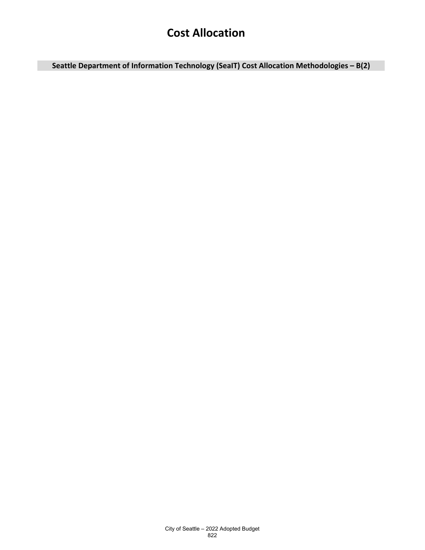**Seattle Department of Information Technology (SeaIT) Cost Allocation Methodologies – B(2)**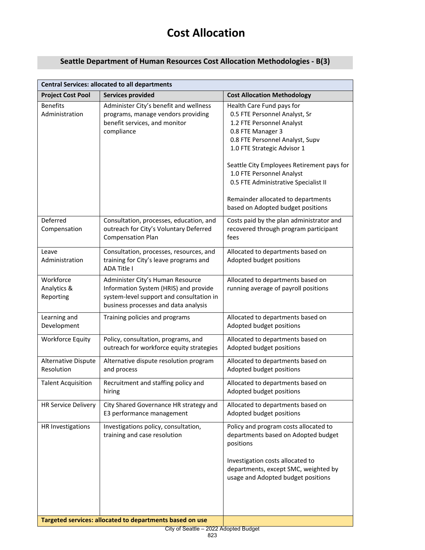#### **Seattle Department of Human Resources Cost Allocation Methodologies - B(3)**

| <b>Central Services: allocated to all departments</b> |                                                                                                                                                               |                                                                                                                                                                                                                                                                                                                                                                              |  |  |
|-------------------------------------------------------|---------------------------------------------------------------------------------------------------------------------------------------------------------------|------------------------------------------------------------------------------------------------------------------------------------------------------------------------------------------------------------------------------------------------------------------------------------------------------------------------------------------------------------------------------|--|--|
| <b>Project Cost Pool</b>                              | <b>Services provided</b>                                                                                                                                      | <b>Cost Allocation Methodology</b>                                                                                                                                                                                                                                                                                                                                           |  |  |
| <b>Benefits</b><br>Administration                     | Administer City's benefit and wellness<br>programs, manage vendors providing<br>benefit services, and monitor<br>compliance                                   | Health Care Fund pays for<br>0.5 FTE Personnel Analyst, Sr<br>1.2 FTE Personnel Analyst<br>0.8 FTE Manager 3<br>0.8 FTE Personnel Analyst, Supv<br>1.0 FTE Strategic Advisor 1<br>Seattle City Employees Retirement pays for<br>1.0 FTE Personnel Analyst<br>0.5 FTE Administrative Specialist II<br>Remainder allocated to departments<br>based on Adopted budget positions |  |  |
| Deferred<br>Compensation                              | Consultation, processes, education, and<br>outreach for City's Voluntary Deferred<br><b>Compensation Plan</b>                                                 | Costs paid by the plan administrator and<br>recovered through program participant<br>fees                                                                                                                                                                                                                                                                                    |  |  |
| Leave<br>Administration                               | Consultation, processes, resources, and<br>training for City's leave programs and<br><b>ADA Title I</b>                                                       | Allocated to departments based on<br>Adopted budget positions                                                                                                                                                                                                                                                                                                                |  |  |
| Workforce<br>Analytics &<br>Reporting                 | Administer City's Human Resource<br>Information System (HRIS) and provide<br>system-level support and consultation in<br>business processes and data analysis | Allocated to departments based on<br>running average of payroll positions                                                                                                                                                                                                                                                                                                    |  |  |
| Learning and<br>Development                           | Training policies and programs                                                                                                                                | Allocated to departments based on<br>Adopted budget positions                                                                                                                                                                                                                                                                                                                |  |  |
| <b>Workforce Equity</b>                               | Policy, consultation, programs, and<br>outreach for workforce equity strategies                                                                               | Allocated to departments based on<br>Adopted budget positions                                                                                                                                                                                                                                                                                                                |  |  |
| Alternative Dispute<br>Resolution                     | Alternative dispute resolution program<br>and process                                                                                                         | Allocated to departments based on<br>Adopted budget positions                                                                                                                                                                                                                                                                                                                |  |  |
| <b>Talent Acquisition</b>                             | Recruitment and staffing policy and<br>hiring                                                                                                                 | Allocated to departments based on<br>Adopted budget positions                                                                                                                                                                                                                                                                                                                |  |  |
| <b>HR Service Delivery</b>                            | City Shared Governance HR strategy and<br>E3 performance management                                                                                           | Allocated to departments based on<br>Adopted budget positions                                                                                                                                                                                                                                                                                                                |  |  |
| HR Investigations                                     | Investigations policy, consultation,<br>training and case resolution                                                                                          | Policy and program costs allocated to<br>departments based on Adopted budget<br>positions<br>Investigation costs allocated to<br>departments, except SMC, weighted by<br>usage and Adopted budget positions                                                                                                                                                                  |  |  |
|                                                       | Targeted services: allocated to departments based on use                                                                                                      |                                                                                                                                                                                                                                                                                                                                                                              |  |  |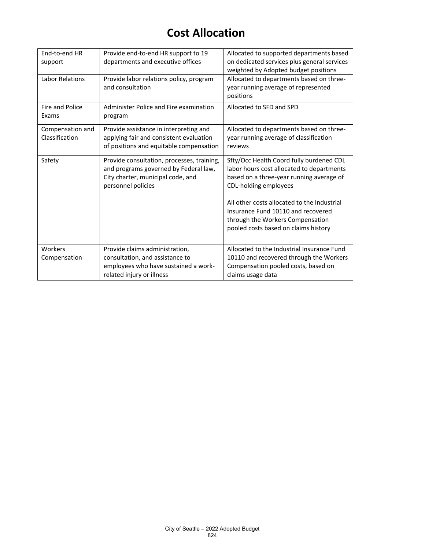| End-to-end HR<br>support           | Provide end-to-end HR support to 19<br>departments and executive offices                                                                       | Allocated to supported departments based<br>on dedicated services plus general services<br>weighted by Adopted budget positions                                                                                                                                                                                             |
|------------------------------------|------------------------------------------------------------------------------------------------------------------------------------------------|-----------------------------------------------------------------------------------------------------------------------------------------------------------------------------------------------------------------------------------------------------------------------------------------------------------------------------|
| <b>Labor Relations</b>             | Provide labor relations policy, program<br>and consultation                                                                                    | Allocated to departments based on three-<br>year running average of represented<br>positions                                                                                                                                                                                                                                |
| Fire and Police<br>Exams           | Administer Police and Fire examination<br>program                                                                                              | Allocated to SFD and SPD                                                                                                                                                                                                                                                                                                    |
| Compensation and<br>Classification | Provide assistance in interpreting and<br>applying fair and consistent evaluation<br>of positions and equitable compensation                   | Allocated to departments based on three-<br>year running average of classification<br>reviews                                                                                                                                                                                                                               |
| Safety                             | Provide consultation, processes, training,<br>and programs governed by Federal law,<br>City charter, municipal code, and<br>personnel policies | Sfty/Occ Health Coord fully burdened CDL<br>labor hours cost allocated to departments<br>based on a three-year running average of<br>CDL-holding employees<br>All other costs allocated to the Industrial<br>Insurance Fund 10110 and recovered<br>through the Workers Compensation<br>pooled costs based on claims history |
| Workers<br>Compensation            | Provide claims administration,<br>consultation, and assistance to<br>employees who have sustained a work-<br>related injury or illness         | Allocated to the Industrial Insurance Fund<br>10110 and recovered through the Workers<br>Compensation pooled costs, based on<br>claims usage data                                                                                                                                                                           |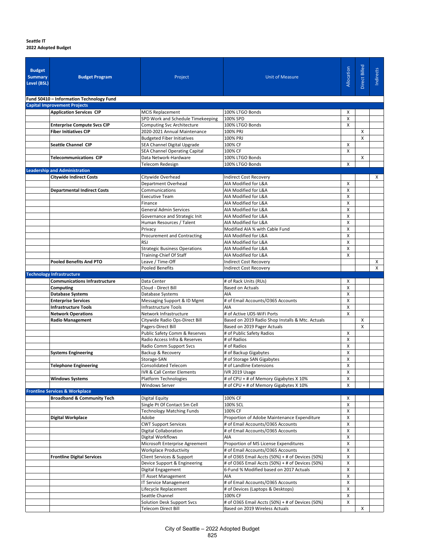#### **Seattle IT**

**2022 Adopted Budget**

| <b>Budget</b><br><b>Summary</b><br>Level (BSL) | <b>Budget Program</b>                                              | Project                                                           | <b>Unit of Measure</b>                                                     | Allocation        | Direct Billed | Indirects |
|------------------------------------------------|--------------------------------------------------------------------|-------------------------------------------------------------------|----------------------------------------------------------------------------|-------------------|---------------|-----------|
|                                                | Fund 50410 - Information Technology Fund                           |                                                                   |                                                                            |                   |               |           |
|                                                | <b>Capital Improvement Projects</b>                                |                                                                   |                                                                            |                   |               |           |
|                                                | <b>Application Services CIP</b>                                    | <b>MCIS Replacement</b>                                           | 100% LTGO Bonds                                                            | X                 |               |           |
|                                                |                                                                    | SPD Work and Schedule Timekeeping                                 | 100% SPD                                                                   | X                 |               |           |
|                                                | <b>Enterprise Compute Svcs CIP</b><br><b>Fiber Initiatives CIP</b> | <b>Computing Svc Architecture</b><br>2020-2021 Annual Maintenance | 100% LTGO Bonds<br>100% PRJ                                                | X                 | X             |           |
|                                                |                                                                    | <b>Budgeted Fiber Initiatives</b>                                 | 100% PRJ                                                                   |                   | X             |           |
|                                                | <b>Seattle Channel CIP</b>                                         | SEA Channel Digital Upgrade                                       | 100% CF                                                                    | X                 |               |           |
|                                                |                                                                    | <b>SEA Channel Operating Capital</b>                              | 100% CF                                                                    | X                 |               |           |
|                                                | <b>Telecommunications CIP</b>                                      | Data Network-Hardware                                             | 100% LTGO Bonds                                                            |                   | х             |           |
|                                                |                                                                    | Telecom Redesign                                                  | 100% LTGO Bonds                                                            | X                 |               |           |
|                                                | <b>Leadership and Administration</b>                               |                                                                   |                                                                            |                   |               |           |
|                                                | <b>Citywide Indirect Costs</b>                                     | Citywide Overhead                                                 | <b>Indirect Cost Recovery</b>                                              |                   |               | Х         |
|                                                | <b>Departmental Indirect Costs</b>                                 | Department Overhead<br>Communications                             | AIA Modified for L&A<br>AIA Modified for L&A                               | X<br>X            |               |           |
|                                                |                                                                    | <b>Executive Team</b>                                             | AIA Modified for L&A                                                       | X                 |               |           |
|                                                |                                                                    | Finance                                                           | AIA Modified for L&A                                                       | $\mathsf{x}$      |               |           |
|                                                |                                                                    | General Admin Services                                            | AIA Modified for L&A                                                       | X                 |               |           |
|                                                |                                                                    | Governance and Strategic Init                                     | AIA Modified for L&A                                                       | X                 |               |           |
|                                                |                                                                    | Human Resources / Talent                                          | AIA Modified for L&A                                                       | X                 |               |           |
|                                                |                                                                    | Privacy                                                           | Modified AIA % with Cable Fund                                             | X                 |               |           |
|                                                |                                                                    | Procurement and Contracting<br><b>RSJ</b>                         | AIA Modified for L&A                                                       | X                 |               |           |
|                                                |                                                                    | <b>Strategic Business Operations</b>                              | AIA Modified for L&A<br>AIA Modified for L&A                               | X<br>$\mathsf{x}$ |               |           |
|                                                |                                                                    | Training-Chief Of Staff                                           | AIA Modified for L&A                                                       | X                 |               |           |
|                                                | <b>Pooled Benefits And PTO</b>                                     | Leave / Time-Off                                                  | Indirect Cost Recovery                                                     |                   |               | X         |
|                                                |                                                                    | <b>Pooled Benefits</b>                                            | <b>Indirect Cost Recovery</b>                                              |                   |               | X         |
|                                                | <b>Technology Infrastructure</b>                                   |                                                                   |                                                                            |                   |               |           |
|                                                | <b>Communications Infrastructure</b>                               | Data Center                                                       | # of Rack Units (RUs)                                                      | X                 |               |           |
|                                                | Computing<br><b>Database Systems</b>                               | Cloud - Direct Bill<br>Database Systems                           | <b>Based on Actuals</b><br>AIA                                             | X<br>X            |               |           |
|                                                | <b>Enterprise Services</b>                                         | Messaging Support & ID Mgmt                                       | # of Email Accounts/0365 Accounts                                          | X                 |               |           |
|                                                | <b>Infrastructure Tools</b>                                        | Infrastructure Tools                                              | AIA                                                                        | $\mathsf{x}$      |               |           |
|                                                | <b>Network Operations</b>                                          | Network Infrastructure                                            | # of Active UDS-WiFi Ports                                                 | X                 |               |           |
|                                                | <b>Radio Management</b>                                            | Citywide Radio Ops-Direct Bill                                    | Based on 2019 Radio Shop Installs & Mtc. Actuals                           |                   | Χ             |           |
|                                                |                                                                    | Pagers-Direct Bill                                                | Based on 2019 Pager Actuals                                                |                   | X             |           |
|                                                |                                                                    | Public Safety Comm & Reserves                                     | # of Public Safety Radios                                                  | X                 |               |           |
|                                                |                                                                    | Radio Access Infra & Reserves<br>Radio Comm Support Svcs          | # of Radios<br># of Radios                                                 | X<br>X            |               |           |
|                                                | <b>Systems Engineering</b>                                         | Backup & Recovery                                                 | # of Backup Gigabytes                                                      | X                 |               |           |
|                                                |                                                                    | Storage-SAN                                                       | # of Storage SAN Gigabytes                                                 | X                 |               |           |
|                                                | <b>Telephone Engineering</b>                                       | <b>Consolidated Telecom</b>                                       | # of Landline Extensions                                                   | X                 |               |           |
|                                                |                                                                    | <b>IVR &amp; Call Center Elements</b>                             | IVR 2019 Usage                                                             | Х                 |               |           |
|                                                | <b>Windows Systems</b>                                             | <b>Platform Technologies</b>                                      | # of CPU + # of Memory Gigabytes X 10%                                     | X                 |               |           |
|                                                | <b>Frontline Services &amp; Workplace</b>                          | <b>Windows Server</b>                                             | # of CPU + # of Memory Gigabytes X 10%                                     | X                 |               |           |
|                                                | <b>Broadband &amp; Community Tech</b>                              | <b>Digital Equity</b>                                             | 100% CF                                                                    | x                 |               |           |
|                                                |                                                                    | Single Pt Of Contact Sm Cell                                      | 100% SCL                                                                   | X                 |               |           |
|                                                |                                                                    | <b>Technology Matching Funds</b>                                  | 100% CF                                                                    | X                 |               |           |
|                                                | <b>Digital Workplace</b>                                           | Adobe                                                             | Proportion of Adobe Maintenance Expenditure                                | X                 |               |           |
|                                                |                                                                    | <b>CWT Support Services</b>                                       | # of Email Accounts/O365 Accounts                                          | X                 |               |           |
|                                                |                                                                    | <b>Digital Collaboration</b>                                      | # of Email Accounts/0365 Accounts                                          | X                 |               |           |
|                                                |                                                                    | Digital Workflows                                                 | AIA                                                                        | X<br>X            |               |           |
|                                                |                                                                    | Microsoft Enterprise Agreement<br><b>Workplace Productivity</b>   | Proportion of MS License Expenditures<br># of Email Accounts/0365 Accounts | X                 |               |           |
|                                                | <b>Frontline Digital Services</b>                                  | Client Services & Support                                         | # of O365 Email Accts (50%) + # of Devices (50%)                           | X                 |               |           |
|                                                |                                                                    | Device Support & Engineering                                      | # of O365 Email Accts (50%) + # of Devices (50%)                           | X                 |               |           |
|                                                |                                                                    | Digital Engagement                                                | 6-Fund % Modified based on 2017 Actuals                                    | X                 |               |           |
|                                                |                                                                    | IT Asset Management                                               | AIA                                                                        | X                 |               |           |
|                                                |                                                                    | <b>IT Service Management</b>                                      | # of Email Accounts/0365 Accounts                                          | X                 |               |           |
|                                                |                                                                    | Lifecycle Replacement                                             | # of Devices (Laptops & Desktops)                                          | X                 |               |           |
|                                                |                                                                    | Seattle Channel<br>Solution Desk Support Svcs                     | 100% CF<br># of O365 Email Accts (50%) + # of Devices (50%)                | X<br>X            |               |           |
|                                                |                                                                    | <b>Telecom Direct Bill</b>                                        | Based on 2019 Wireless Actuals                                             |                   | X             |           |

#### City of Seattle – 2022 Adopted Budget 825